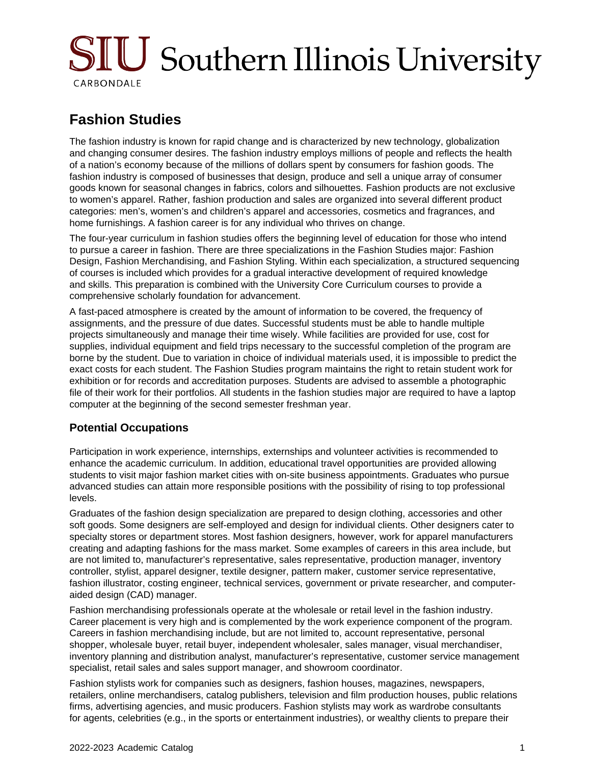# SIU Southern Illinois University CARBONDALE

## **Fashion Studies**

The fashion industry is known for rapid change and is characterized by new technology, globalization and changing consumer desires. The fashion industry employs millions of people and reflects the health of a nation's economy because of the millions of dollars spent by consumers for fashion goods. The fashion industry is composed of businesses that design, produce and sell a unique array of consumer goods known for seasonal changes in fabrics, colors and silhouettes. Fashion products are not exclusive to women's apparel. Rather, fashion production and sales are organized into several different product categories: men's, women's and children's apparel and accessories, cosmetics and fragrances, and home furnishings. A fashion career is for any individual who thrives on change.

The four-year curriculum in fashion studies offers the beginning level of education for those who intend to pursue a career in fashion. There are three specializations in the Fashion Studies major: Fashion Design, Fashion Merchandising, and Fashion Styling. Within each specialization, a structured sequencing of courses is included which provides for a gradual interactive development of required knowledge and skills. This preparation is combined with the University Core Curriculum courses to provide a comprehensive scholarly foundation for advancement.

A fast-paced atmosphere is created by the amount of information to be covered, the frequency of assignments, and the pressure of due dates. Successful students must be able to handle multiple projects simultaneously and manage their time wisely. While facilities are provided for use, cost for supplies, individual equipment and field trips necessary to the successful completion of the program are borne by the student. Due to variation in choice of individual materials used, it is impossible to predict the exact costs for each student. The Fashion Studies program maintains the right to retain student work for exhibition or for records and accreditation purposes. Students are advised to assemble a photographic file of their work for their portfolios. All students in the fashion studies major are required to have a laptop computer at the beginning of the second semester freshman year.

### **Potential Occupations**

Participation in work experience, internships, externships and volunteer activities is recommended to enhance the academic curriculum. In addition, educational travel opportunities are provided allowing students to visit major fashion market cities with on-site business appointments. Graduates who pursue advanced studies can attain more responsible positions with the possibility of rising to top professional levels.

Graduates of the fashion design specialization are prepared to design clothing, accessories and other soft goods. Some designers are self-employed and design for individual clients. Other designers cater to specialty stores or department stores. Most fashion designers, however, work for apparel manufacturers creating and adapting fashions for the mass market. Some examples of careers in this area include, but are not limited to, manufacturer's representative, sales representative, production manager, inventory controller, stylist, apparel designer, textile designer, pattern maker, customer service representative, fashion illustrator, costing engineer, technical services, government or private researcher, and computeraided design (CAD) manager.

Fashion merchandising professionals operate at the wholesale or retail level in the fashion industry. Career placement is very high and is complemented by the work experience component of the program. Careers in fashion merchandising include, but are not limited to, account representative, personal shopper, wholesale buyer, retail buyer, independent wholesaler, sales manager, visual merchandiser, inventory planning and distribution analyst, manufacturer's representative, customer service management specialist, retail sales and sales support manager, and showroom coordinator.

Fashion stylists work for companies such as designers, fashion houses, magazines, newspapers, retailers, online merchandisers, catalog publishers, television and film production houses, public relations firms, advertising agencies, and music producers. Fashion stylists may work as wardrobe consultants for agents, celebrities (e.g., in the sports or entertainment industries), or wealthy clients to prepare their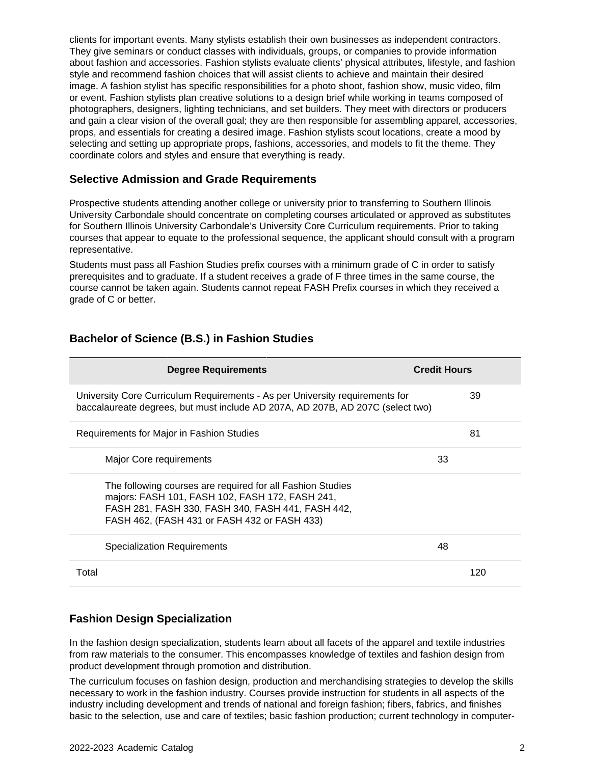clients for important events. Many stylists establish their own businesses as independent contractors. They give seminars or conduct classes with individuals, groups, or companies to provide information about fashion and accessories. Fashion stylists evaluate clients' physical attributes, lifestyle, and fashion style and recommend fashion choices that will assist clients to achieve and maintain their desired image. A fashion stylist has specific responsibilities for a photo shoot, fashion show, music video, film or event. Fashion stylists plan creative solutions to a design brief while working in teams composed of photographers, designers, lighting technicians, and set builders. They meet with directors or producers and gain a clear vision of the overall goal; they are then responsible for assembling apparel, accessories, props, and essentials for creating a desired image. Fashion stylists scout locations, create a mood by selecting and setting up appropriate props, fashions, accessories, and models to fit the theme. They coordinate colors and styles and ensure that everything is ready.

#### **Selective Admission and Grade Requirements**

Prospective students attending another college or university prior to transferring to Southern Illinois University Carbondale should concentrate on completing courses articulated or approved as substitutes for Southern Illinois University Carbondale's University Core Curriculum requirements. Prior to taking courses that appear to equate to the professional sequence, the applicant should consult with a program representative.

Students must pass all Fashion Studies prefix courses with a minimum grade of C in order to satisfy prerequisites and to graduate. If a student receives a grade of F three times in the same course, the course cannot be taken again. Students cannot repeat FASH Prefix courses in which they received a grade of C or better.

| <b>Degree Requirements</b>                                                                                                                                                                                         | <b>Credit Hours</b> |
|--------------------------------------------------------------------------------------------------------------------------------------------------------------------------------------------------------------------|---------------------|
| University Core Curriculum Requirements - As per University requirements for<br>baccalaureate degrees, but must include AD 207A, AD 207B, AD 207C (select two)                                                     | 39                  |
| Requirements for Major in Fashion Studies                                                                                                                                                                          | 81                  |
| Major Core requirements                                                                                                                                                                                            | 33                  |
| The following courses are required for all Fashion Studies<br>majors: FASH 101, FASH 102, FASH 172, FASH 241,<br>FASH 281, FASH 330, FASH 340, FASH 441, FASH 442,<br>FASH 462, (FASH 431 or FASH 432 or FASH 433) |                     |
| Specialization Requirements                                                                                                                                                                                        | 48                  |
| Total                                                                                                                                                                                                              | 120                 |

#### **Bachelor of Science (B.S.) in Fashion Studies**

### **Fashion Design Specialization**

In the fashion design specialization, students learn about all facets of the apparel and textile industries from raw materials to the consumer. This encompasses knowledge of textiles and fashion design from product development through promotion and distribution.

The curriculum focuses on fashion design, production and merchandising strategies to develop the skills necessary to work in the fashion industry. Courses provide instruction for students in all aspects of the industry including development and trends of national and foreign fashion; fibers, fabrics, and finishes basic to the selection, use and care of textiles; basic fashion production; current technology in computer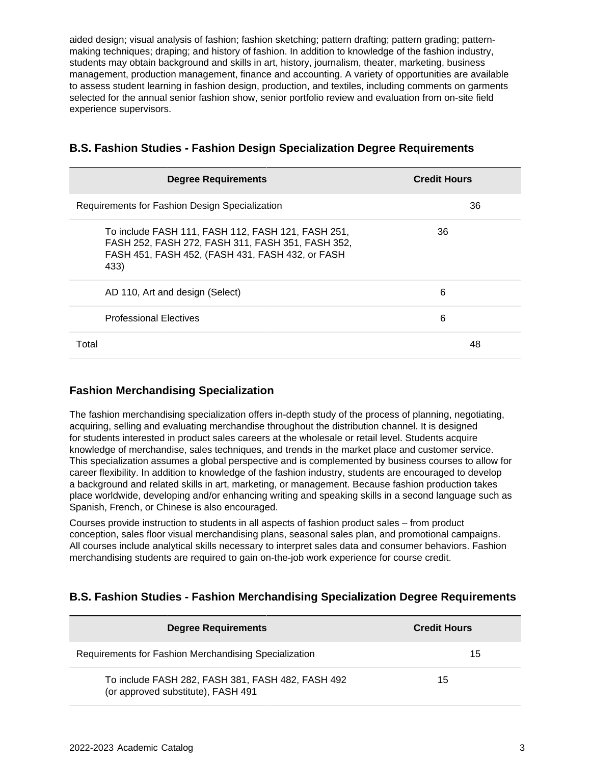aided design; visual analysis of fashion; fashion sketching; pattern drafting; pattern grading; patternmaking techniques; draping; and history of fashion. In addition to knowledge of the fashion industry, students may obtain background and skills in art, history, journalism, theater, marketing, business management, production management, finance and accounting. A variety of opportunities are available to assess student learning in fashion design, production, and textiles, including comments on garments selected for the annual senior fashion show, senior portfolio review and evaluation from on-site field experience supervisors.

| <b>Degree Requirements</b>                                                                                                                                          | <b>Credit Hours</b> |
|---------------------------------------------------------------------------------------------------------------------------------------------------------------------|---------------------|
| Requirements for Fashion Design Specialization                                                                                                                      | 36                  |
| To include FASH 111, FASH 112, FASH 121, FASH 251,<br>FASH 252, FASH 272, FASH 311, FASH 351, FASH 352,<br>FASH 451, FASH 452, (FASH 431, FASH 432, or FASH<br>433) | 36                  |
| AD 110, Art and design (Select)                                                                                                                                     | 6                   |
| <b>Professional Electives</b>                                                                                                                                       | 6                   |
| Total                                                                                                                                                               | 48                  |

#### **B.S. Fashion Studies - Fashion Design Specialization Degree Requirements**

#### **Fashion Merchandising Specialization**

The fashion merchandising specialization offers in-depth study of the process of planning, negotiating, acquiring, selling and evaluating merchandise throughout the distribution channel. It is designed for students interested in product sales careers at the wholesale or retail level. Students acquire knowledge of merchandise, sales techniques, and trends in the market place and customer service. This specialization assumes a global perspective and is complemented by business courses to allow for career flexibility. In addition to knowledge of the fashion industry, students are encouraged to develop a background and related skills in art, marketing, or management. Because fashion production takes place worldwide, developing and/or enhancing writing and speaking skills in a second language such as Spanish, French, or Chinese is also encouraged.

Courses provide instruction to students in all aspects of fashion product sales – from product conception, sales floor visual merchandising plans, seasonal sales plan, and promotional campaigns. All courses include analytical skills necessary to interpret sales data and consumer behaviors. Fashion merchandising students are required to gain on-the-job work experience for course credit.

### **B.S. Fashion Studies - Fashion Merchandising Specialization Degree Requirements**

| <b>Degree Requirements</b>                                                              | <b>Credit Hours</b> |
|-----------------------------------------------------------------------------------------|---------------------|
| Requirements for Fashion Merchandising Specialization                                   | 15                  |
| To include FASH 282, FASH 381, FASH 482, FASH 492<br>(or approved substitute), FASH 491 | 15                  |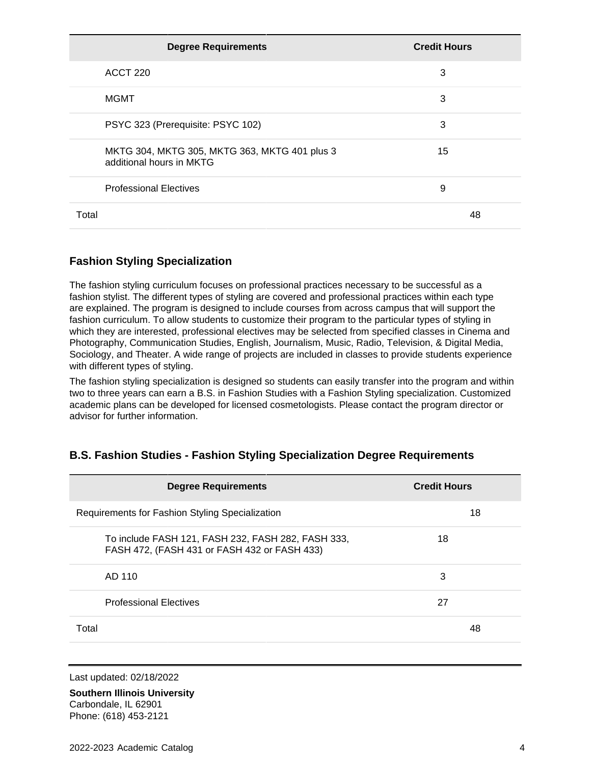| <b>Degree Requirements</b>                                                | <b>Credit Hours</b> |
|---------------------------------------------------------------------------|---------------------|
| ACCT 220                                                                  | 3                   |
| <b>MGMT</b>                                                               | 3                   |
| PSYC 323 (Prerequisite: PSYC 102)                                         | 3                   |
| MKTG 304, MKTG 305, MKTG 363, MKTG 401 plus 3<br>additional hours in MKTG | 15                  |
| <b>Professional Electives</b>                                             | 9                   |
| Total                                                                     | 48                  |

### **Fashion Styling Specialization**

The fashion styling curriculum focuses on professional practices necessary to be successful as a fashion stylist. The different types of styling are covered and professional practices within each type are explained. The program is designed to include courses from across campus that will support the fashion curriculum. To allow students to customize their program to the particular types of styling in which they are interested, professional electives may be selected from specified classes in Cinema and Photography, Communication Studies, English, Journalism, Music, Radio, Television, & Digital Media, Sociology, and Theater. A wide range of projects are included in classes to provide students experience with different types of styling.

The fashion styling specialization is designed so students can easily transfer into the program and within two to three years can earn a B.S. in Fashion Studies with a Fashion Styling specialization. Customized academic plans can be developed for licensed cosmetologists. Please contact the program director or advisor for further information.

| <b>Degree Requirements</b>                                                                         | <b>Credit Hours</b> |
|----------------------------------------------------------------------------------------------------|---------------------|
| Requirements for Fashion Styling Specialization                                                    | 18                  |
| To include FASH 121, FASH 232, FASH 282, FASH 333,<br>FASH 472, (FASH 431 or FASH 432 or FASH 433) | 18                  |
| AD 110                                                                                             | 3                   |
| <b>Professional Electives</b>                                                                      | 27                  |
| Total                                                                                              | 48                  |

### **B.S. Fashion Studies - Fashion Styling Specialization Degree Requirements**

Last updated: 02/18/2022

**Southern Illinois University** Carbondale, IL 62901 Phone: (618) 453-2121